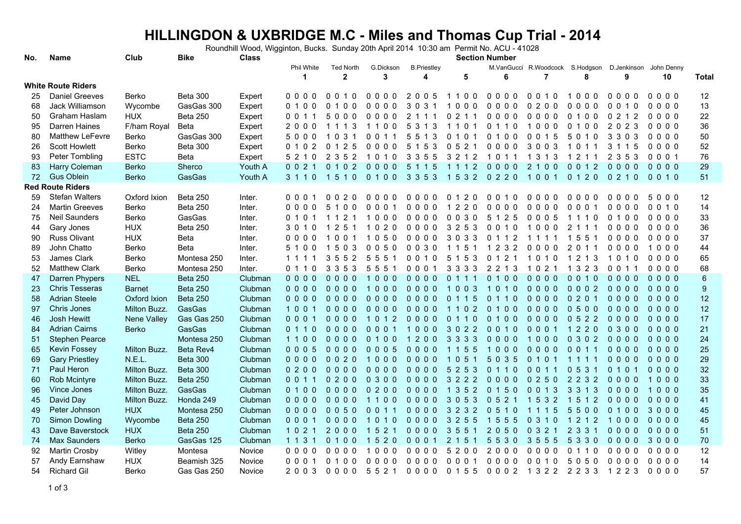## **HILLINGDON & UXBRIDGE M.C - Miles and Thomas Cup Trial - 2014 Section Number**

Roundhill Wood, Wigginton, Bucks. Sunday 20th April 2014 10:30 am Permit No. ACU - 41028

| No.      | Name                                       | Club                        | <b>Bike</b>           | <b>Class</b>       | <b>Section Number</b>  |                                  |                                  |                                    |                                        |                                  |                                         |                                      |                                                             |                  |              |
|----------|--------------------------------------------|-----------------------------|-----------------------|--------------------|------------------------|----------------------------------|----------------------------------|------------------------------------|----------------------------------------|----------------------------------|-----------------------------------------|--------------------------------------|-------------------------------------------------------------|------------------|--------------|
|          |                                            |                             |                       |                    | <b>Phil White</b><br>1 | <b>Ted North</b><br>$\mathbf{2}$ | G.Dickson<br>3                   | <b>B.Priestley</b><br>4            | 5                                      | 6                                | $\overline{7}$                          | 8                                    | M.VanGucci R.Woodcock S.Hodgson D.Jenkinson John Denny<br>9 | 10               | <b>Total</b> |
|          | <b>White Route Riders</b>                  |                             |                       |                    |                        |                                  |                                  |                                    |                                        |                                  |                                         |                                      |                                                             |                  |              |
| 25       | <b>Daniel Greeves</b>                      | Berko                       | Beta 300              | Expert             | 0000                   | $\Omega$<br>010                  | 0000                             | 2005                               | 1100                                   | 0000                             | 0 0 1 0                                 | 1000                                 | 000<br>- 0                                                  | 0000             | 12           |
| 68       | Jack Williamson                            | Wycombe                     | GasGas 300            | Expert             | 010<br>0               | 0<br>00                          | 0 <sub>0</sub><br>0 <sub>0</sub> | 3<br>$\mathbf 0$<br>3 <sub>1</sub> | 0 <sub>0</sub><br>0                    | 0000                             | 0<br>200                                | 0<br>0<br>00                         | 0 0 1 0                                                     | 0000             | 13           |
| 50       | Graham Haslam                              | <b>HUX</b>                  | Beta 250              | Expert             | 0 0 1 1                | 5<br>000                         | 0000                             | $\overline{2}$<br>1 1 1            | 2 1 1<br>0                             | 0000                             | 0000                                    | 0100                                 | 0 2 1 2                                                     | 0000             | 22           |
| 95       | Darren Haines                              | F/ham Royal                 | Beta                  | Expert             | 2000                   | 1 1 1 3                          | 1100                             | 5<br>3 1 3                         | 1 1 0 1                                | 0 1 1 0                          | 1000                                    | 0 1 0 0                              | 2023                                                        | 0000             | 36           |
| 80       | <b>Matthew LeFevre</b>                     | Berko                       | GasGas 300            | Expert             | 5000                   | 1 0 3 1                          | 0 0 1 1                          | 5 5 1 3                            | 0 1 0 1                                | 0 1 0 0                          | 0 0 1 5                                 | 5 0 1 0                              | 3 3 0 3                                                     | 0000             | 50           |
| 26       | <b>Scott Howlett</b>                       | Berko                       | Beta 300              | Expert             | 0 1 0 2                | 0 1 2 5                          | 0000                             | 1 5 3<br>5                         | 0521                                   | 0000                             | 3003                                    | 1011                                 | 3 1 1 5                                                     | 0000             | 52           |
| 93       | Peter Tombling                             | <b>ESTC</b>                 | Beta                  | Expert             | 5 2 1 0                | $\overline{2}$<br>352            | 1010                             | 3 3 5 5                            | 3 2 1 2                                | 1 0 1 1                          | 3 1 3<br>-1                             | $\overline{2}$<br>-1<br>11           | 2 3 5 3                                                     | 0001             | 76           |
| 83       | Harry Coleman                              | <b>Berko</b>                | Sherco                | Youth A            | 0021                   | 0 1 0 2                          | $0000$                           | 1 1 5<br>$5\overline{)}$           | 1 1 1 2                                | $0000$                           | 2 1 0 0                                 | 0 0 1 2                              | $0000$                                                      | $0000$           | 29           |
| 72       | <b>Gus Oblein</b>                          | Berko                       | GasGas                | Youth A            | 3 1 1 0                | 1510                             | 0100                             | 3 3 5 3                            | 1532 0220                              |                                  | 1001                                    | 0 1 2 0                              | 0 2 1 0                                                     | 0010             | 51           |
|          | <b>Red Route Riders</b>                    |                             |                       |                    |                        |                                  |                                  |                                    |                                        |                                  |                                         |                                      |                                                             |                  |              |
| 59       | <b>Stefan Walters</b>                      | Oxford Ixion                | Beta 250              | Inter.             | 0001                   | 0020                             | $0000$                           | $0000$                             | 0 1 2 0                                | 0010                             | 0000                                    | 0000                                 | 0000                                                        | 5000             | 12           |
| 24       | <b>Martin Greeves</b>                      | Berko                       | <b>Beta 250</b>       | Inter.             | 0000                   | 5 1 0 0                          | 0 <sub>0</sub><br>$\Omega$       | $0000$                             | 2 2 0<br>$\mathbf{1}$                  | 0 <sub>0</sub><br>0 <sub>0</sub> | $0000$                                  | $\mathbf{0}$<br>$\Omega$<br>$\Omega$ | 0000                                                        | 0010             | 14           |
| 75       | Neil Saunders                              | Berko                       | GasGas                | Inter.             | 0 1 0 1                | 1 1 2 1                          | 1000                             | 0000                               | 0030                                   | 5 1 2 5                          | 0005                                    | 1 1 1 0                              | 0100                                                        | 0000             | 33           |
| 44       | Gary Jones                                 | <b>HUX</b>                  | Beta 250              | Inter.             | 3 0 1 0                | 1 2 5 1                          | 1 0 2 0                          | 0000                               | 3 2 5 3                                | 0010                             | 1000                                    | 2 1 1 1                              | 0000                                                        | 0000             | 36           |
| 90       | <b>Russ Olivant</b>                        | <b>HUX</b>                  | Beta                  | Inter.             | 0000                   | 1001                             | 1050                             | 0000                               | 3 0 3 3                                | 0 1 1 2                          | 1111                                    | 1551                                 | 0000                                                        | 0000             | 37           |
| 89       | John Chatto                                | Berko                       | Beta                  | Inter.             | 5 1 0 0                | 15<br>03                         | 0050                             | 0030                               | 5<br>11<br>-1                          | 1 2 3 2                          | 0000                                    | 2<br>$\Omega$<br>$\overline{1}$      | 0000                                                        | 1000             | 44           |
| 53       | James Clark                                | Berko                       | Montesa 250           | Inter.             | 1 1 1 1                | $3\,5$<br>52                     | 555                              | $\Omega$<br>0 1 0                  | 1 5 3<br>5                             | 0 1 2 1                          | $\overline{1}$<br>0 <sub>1</sub><br>- 0 | 2 1 3<br>-1                          | 1010                                                        | 0000             | 65           |
| 52       | <b>Matthew Clark</b>                       | Berko                       | Montesa 250           | Inter.             | 0 1 1 0                | 3 3 5 3                          | 5 5 5 1                          | 0001                               | 3 3 3 3                                | 2 2 1 3                          | 1 0 2 1                                 | 1 3 2 3                              | 0 0 1 1                                                     | 0000             | 68           |
| 47       | Darren Phypers                             | <b>NEL</b>                  | <b>Beta 250</b>       | Clubman            | $0000$                 | $0000$                           | 1000                             | $0000$                             | 0 1 1 1                                | 0 1 0 0                          | $0000$                                  | 0010                                 | $0000$                                                      | $0000$           | $\,6$        |
| 23       | <b>Chris Tesseras</b>                      | <b>Barnet</b>               | <b>Beta 250</b>       | Clubman            | $0000$                 | $0000$                           | 1000                             | $0000$                             | 1003                                   | 1010                             | $0000$                                  | 0002                                 | $0000$                                                      | $0000$           | 9            |
| 58       | <b>Adrian Steele</b>                       | Oxford Ixion                | Beta 250              | Clubman            | $0000$                 | $0000$                           | $0000$                           | $0000$                             | 0 1 1 5                                | $\mathbf{0}$<br>1 1 0            | $0000$                                  | 0201                                 | 0000                                                        | $0000$           | 12           |
| 97       | Chris Jones                                | Milton Buzz.                | GasGas                | Clubman            | 1001                   | $0000$                           | $0000$                           | $0000$                             | 1 1 0 2                                | 0 1 0 0                          | $0000$                                  | 0500                                 | 0000                                                        | $0000$           | 12           |
| 46       | <b>Josh Hewitt</b><br><b>Adrian Cairns</b> | Nene Valley<br><b>Berko</b> | Gas Gas 250<br>GasGas | Clubman<br>Clubman | 0001<br>0110           | $0000$<br>$0000$                 | 1012<br>0001                     | $0000$<br>1000                     | 0110<br>3022                           | 0 1 0 0<br>0010                  | $0000$<br>0001                          | 0522<br>1 2 2 0                      | $0000$<br>0300                                              | $0000$<br>$0000$ | 17<br>21     |
| 84<br>51 | <b>Stephen Pearce</b>                      |                             | Montesa 250           | Clubman            | 1100                   | $0000$                           | 0 1 0 0                          | 200<br>$\mathbf{1}$                | 3 3 3 3                                | $0000$                           | 1000                                    | 0 3 0 2                              | $0000$                                                      | $0000$           | 24           |
| 65       | Kevin Fossey                               | Milton Buzz.                | Beta Rev4             | Clubman            | $0005$                 | $0000$                           | 0005                             | $0000$                             | 5 5<br>$1 \; 1$                        | 1000                             | $0000$                                  | 0 0 1 1                              | $0000$                                                      | $0000$           | 25           |
| 69       | <b>Gary Priestley</b>                      | N.E.L.                      | <b>Beta 300</b>       | Clubman            | $0000$                 | 0020                             | 1000                             | $0000$                             | 0 <sub>5</sub><br>$\overline{1}$<br>-1 | 5 0 3 5                          | 0 1 0 1                                 | 1 1 1 1                              | $0000$                                                      | $0000$           | 29           |
| 71       | Paul Heron                                 | Milton Buzz.                | <b>Beta 300</b>       | Clubman            | 0200                   | $0000$                           | $0000$                           | $0000$                             | 5 2 5 3                                | 0110                             | 0 0 1 1                                 | 0531                                 | 0 1 0 1                                                     | $0000$           | 32           |
| 60       | Rob Mcintyre                               | Milton Buzz.                | Beta 250              | Clubman            | 0 0 1 1                | $0200$                           | 0 3 0 0                          | 0000                               | 3 2 2 2                                | $0000$                           | 0250                                    | 2 2 3 2                              | $0000$                                                      | 1000             | 33           |
| 96       | Vince Jones                                | Milton Buzz.                | GasGas                | Clubman            | 0 1 0 0                | $0000$                           | 0200                             | $0000$                             | 1 3 5 2                                | 0 1 5 0                          | 0 0 1 3                                 | 3 3 1 3                              | $0000$                                                      | 1000             | 35           |
| 45       | David Day                                  | Milton Buzz.                | Honda 249             | Clubman            | $0000$                 | $0000$                           | 1100                             | $0000$                             | 3053                                   | 0521                             | 5 3 2<br>$\overline{1}$                 | 1 5 1 2                              | 0000                                                        | $0000$           | 41           |
| 49       | Peter Johnson                              | <b>HUX</b>                  | Montesa 250           | Clubman            | $0000$                 | 0050                             | 0 0 1 1                          | 0000                               | 3 2 3 2                                | 0510                             | 1 1 1 5                                 | 5500                                 | 0 1 0 0                                                     | 3000             | 45           |
| 70       | <b>Simon Dowling</b>                       | Wycombe                     | Beta 250              | Clubman            | 0001                   | $0000$                           | 1010                             | $0000$                             | 3 2 5 5                                | 1 5 5 5                          | 0 3 1 0                                 | 1 2 1 2                              | 1000                                                        | $0000$           | 45           |
| 43       | Dave Baverstock                            | <b>HUX</b>                  | <b>Beta 250</b>       | Clubman            | 1 0 2 1                | 2000                             | 1 5 2 1                          | 0000                               | 3 5 5<br>$\mathbf 1$                   | 2050                             | 0321                                    | 2 3 3 1                              | $0000$                                                      | $0000$           | 51           |
| 74       | <b>Max Saunders</b>                        | <b>Berko</b>                | GasGas 125            | Clubman            | 1 1 3 1                | 0 1 0 0                          | 1 5 2 0                          | 0001                               | 2 <sub>1</sub><br>5<br>-1              | 5530                             | 3 5 5 5                                 | 5 3 3 0                              | $0000$                                                      | 3000             | 70           |
| 92       | Martin Crosby                              | Witley                      | Montesa               | Novice             | 0000                   | $0000$                           | 1000                             | 0000                               | 5<br>200                               | 2000                             | 0000                                    | $\mathbf{0}$<br>1 1 0                | 0000                                                        | $0000$           | 12           |
| 57       | Andy Earnshaw                              | <b>HUX</b>                  | Beamish 325           | Novice             | 0001                   | 0 1 0 0                          | 0000                             | $0000$                             | 0001                                   | 0000                             | 0 0 1 0                                 | 5050                                 | 0000                                                        | $0000$           | 14           |
| 54       | <b>Richard Gil</b>                         | <b>Berko</b>                | Gas Gas 250           | Novice             | 2003                   | 0000                             | 5 5 2 1                          |                                    | 0000 0155                              | 0002 1322 2233                   |                                         |                                      | 1 2 2 3                                                     | $0000$           | 57           |
|          |                                            |                             |                       |                    |                        |                                  |                                  |                                    |                                        |                                  |                                         |                                      |                                                             |                  |              |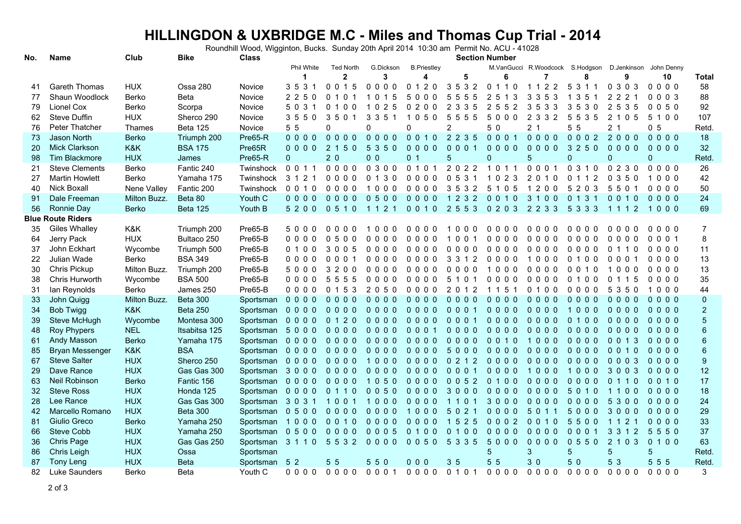## **HILLINGDON & UXBRIDGE M.C - Miles and Thomas Cup Trial - 2014 Section Number**

Roundhill Wood, Wigginton, Bucks. Sunday 20th April 2014 10:30 am Permit No. ACU - 41028

| No. | <b>Name</b>              | Club         | <b>Bike</b>     | Class         | <b>Section Number</b> |                  |                       |                                 |                                               |           |                                 |                                  |                                  |                        |                  |
|-----|--------------------------|--------------|-----------------|---------------|-----------------------|------------------|-----------------------|---------------------------------|-----------------------------------------------|-----------|---------------------------------|----------------------------------|----------------------------------|------------------------|------------------|
|     |                          |              |                 |               | <b>Phil White</b>     | <b>Ted North</b> | G.Dickson             | <b>B.Priestley</b>              |                                               |           | M.VanGucci R.Woodcock S.Hodgson |                                  |                                  | D.Jenkinson John Denny |                  |
|     |                          |              |                 |               | 1                     | $\mathbf{2}$     | 3                     | 4                               | 5                                             | 6         | 7                               | 8                                | 9                                | 10                     | Total            |
| 41  | <b>Gareth Thomas</b>     | <b>HUX</b>   | Ossa 280        | <b>Novice</b> | 3 5 3 1               | 0015             | $0000$                | 0 1 2 0                         | 3532                                          | 0 1 1 0   | 1 1 2 2                         | 5 3 1 1                          | 0 3 0 3                          | 0000                   | 58               |
| 77  | Shaun Woodlock           | Berko        | <b>Beta</b>     | Novice        | 2250                  | 0 1 0 1          | 1 0 1 5               | 5000                            | 5555                                          | 2 5 1 3   | 3 3 5 3                         | 1 3 5                            | 2 2 2 1                          | 0003                   | 88               |
| 79  | Lionel Cox               | Berko        | Scorpa          | Novice        | 5 0 3 1               | 0100             | 025<br>-1             | 0200                            | 2 3 3 5                                       | 2 5 5 2   | 3533                            | 3530                             | 2 5 3 5                          | 0050                   | 92               |
| 62  | Steve Duffin             | <b>HUX</b>   | Sherco 290      | Novice        | 3550                  | 3501             | 5 <sub>1</sub><br>33  | 050<br>1                        | 5<br>55<br>5                                  | 5000      | $\overline{2}$<br>3 3 2         | 5<br>5<br>35                     | $\mathbf{2}^{\circ}$<br>05<br>-1 | 5 1 0 0                | 107              |
| 76  | <b>Peter Thatcher</b>    | Thames       | <b>Beta 125</b> | Novice        | 5 5                   | $\mathbf{0}$     | 0                     | $\Omega$                        | $\overline{2}$                                | 50        | 2 <sub>1</sub>                  | 5 5                              | 2 <sub>1</sub>                   | 0 <sub>5</sub>         | Retd             |
| 73  | Jason North              | <b>Berko</b> | Triumph 200     | Pre65-R       | $0000$                | $0000$           | $0000$                | 0 0 1 0                         | 2 2 3 5                                       | 0001      | $0000$                          | 0002                             | 2000                             | 0000                   | 18               |
| 20  | <b>Mick Clarkson</b>     | K&K          | <b>BSA 175</b>  | Pre65R        | $0000$                | 2 1 5 0          | 5 3 5 0               | $0000$                          | 0001                                          | $0000$    | $0000$                          | 3 2 5 0                          | $0000$                           | $0000$                 | 32               |
| 98  | Tim Blackmore            | <b>HUX</b>   | James           | Pre65-R       | $\mathbf{0}$          | 20               | 0 <sub>0</sub>        | 0 <sub>1</sub>                  | 5                                             | 0         | 5                               | $\mathbf 0$                      | 0                                | 0                      | Retd             |
| 21  | <b>Steve Clements</b>    | Berko        | Fantic 240      | Twinshock     | 0 0 1 1               | 0000             | 0300                  | 0 1 0 1                         | 2022                                          | 1011      | 0 0 0 1                         | 0310                             | 0230                             | 0000                   | 26               |
| 27  | <b>Martin Howlett</b>    | <b>Berko</b> | Yamaha 175      | Twinshock     | 3 1 2 1               | 0000             | 0130                  | 0000                            | 0531                                          | 2 3<br>10 | $\overline{2}$<br>010           | 0 1 1 2                          | $\Omega$<br>350                  | 000<br>$\mathbf{1}$    | 42               |
| 40  | <b>Nick Boxall</b>       | Nene Valley  | Fantic 200      | Twinshock     | 0 0 1 0               | 0000             | 1000                  | 0000                            | 3532                                          | 5 1 0 5   | 1200                            | 5 2 0 3                          | 5501                             | $0000$                 | 50               |
| 91  | Dale Freeman             | Milton Buzz. | Beta 80         | Youth C       | $0000$                | $0000$           | 0500                  | $0000$                          | 1 2 3 2                                       | 0010      | 3 1 0 0                         | 0 1 3 1                          | 0010                             | $0000$                 | 24               |
| 56  | Ronnie Day               | <b>Berko</b> | Beta 125        | Youth B       | 5200                  | 0510             | 1 1 2 1               | 0010                            | 2 5 5 3                                       | 0203      | 2 2 3 3                         | 5 3 3 3                          | 1 1 1 2                          | 1000                   | 69               |
|     | <b>Blue Route Riders</b> |              |                 |               |                       |                  |                       |                                 |                                               |           |                                 |                                  |                                  |                        |                  |
| 35  | <b>Giles Whalley</b>     | K&K          | Triumph 200     | Pre65-B       | 5000                  | 0000             | 000                   | 0 O<br>$\Omega$<br><sup>0</sup> | $\Omega$<br>0 <sub>0</sub>                    | 0000      | 0000                            | 0000                             | 0000                             | 0000                   | $\overline{7}$   |
| 64  | Jerry Pack               | <b>HUX</b>   | Bultaco 250     | Pre65-B       | 0000                  | 0500             | 0000                  | $0000$                          | 1001                                          | 0000      | 0000                            | 0000                             | 0000                             | 0001                   | 8                |
| 37  | John Eckhart             | Wycombe      | Triumph 500     | Pre65-B       | 0100                  | 3 0 0 5          | 0000                  | $0000$                          | 0000                                          | 0000      | 0000                            | 0000                             | 0 1 1 0                          | 0000                   | 11               |
| 22  | Julian Wade              | Berko        | <b>BSA 349</b>  | Pre65-B       | 0000                  | 0001             | 0000                  | $0000$                          | 3<br>3 1 2                                    | 0000      | 1000                            | 0 1 0 0                          | 0001                             | $0000$                 | 13               |
| 30  | Chris Pickup             | Milton Buzz. | Triumph 200     | Pre65-B       | 5000                  | 3 2 0 0          | $0000$                | 0000                            | $\mathbf{0}$<br>000                           | 1000      | 0000                            | 0 <sub>0</sub><br>1 <sub>0</sub> | 1000                             | $0000$                 | 13               |
| 38  | Chris Hurworth           | Wycombe      | <b>BSA 500</b>  | Pre65-B       | 0000                  | 5 5 5 5          | 0000                  | 0000                            | 5<br>101                                      | 0000      | 0000                            | 0100                             | 0 1 1 5                          | 0000                   | 35               |
| 31  | lan Reynolds             | <b>Berko</b> | James 250       | Pre65-B       | 0000                  | 0 1 5 3          | 2050                  | 0000                            | 2 0 1 2                                       | 1 1 5 1   | 0100                            | $0000$                           | 5 3 5 0                          | 1000                   | 44               |
| 33  | John Quigg               | Milton Buzz. | <b>Beta 300</b> | Sportsman     | $0000$                | $0000$           | $0000$                | $0000$                          | $0000$                                        | $0000$    | $0000$                          | $0000$                           | $0\;0\;0\;0$                     | $0000$                 | $\mathbf 0$      |
| 34  | <b>Bob Twigg</b>         | K&K          | <b>Beta 250</b> | Sportsman     | $0000$                | 0000             | $0000$                | $0000$                          | 0001                                          | $0000$    | $0000$                          | 1000                             | $0000$                           | $0000$                 | $\overline{c}$   |
| 39  | Steve McHugh             | Wycombe      | Montesa 300     | Sportsman     | $0000$                | 0 1 2 0          | 0000                  | 0000                            | 0001                                          | 0000      | $0000$                          | 0 1 0 0                          | $0000$                           | $0000$                 | $\overline{5}$   |
| 48  | <b>Roy Phypers</b>       | <b>NEL</b>   | Itsabitsa 125   | Sportsman     | 5000                  | $0000$           | 0000                  | 0001                            | 0000                                          | 0000      | $0000$                          | $0000$                           | $0000$                           | $0000$                 | $\boldsymbol{6}$ |
| 61  | Andy Masson              | <b>Berko</b> | Yamaha 175      | Sportsman     | 0000                  | $0000$           | $0000$                | $0000$                          | $0000$                                        | 0 0 1 0   | 1000                            | $0000$                           | 0 0 1 3                          | $0000$                 | $6\phantom{1}$   |
| 85  | <b>Bryan Messenger</b>   | K&K          | <b>BSA</b>      | Sportsman     | 0000                  | $0000$           | $0000$                | $0000$                          | 5000                                          | $0000$    | $0000$                          | $0000$                           | 0 0 1 0                          | $0000$                 | $\boldsymbol{6}$ |
| 67  | <b>Steve Salter</b>      | <b>HUX</b>   | Sherco 250      | Sportsman     | $0000$                | $0000$           | 000<br>$\overline{1}$ | $0000$                          | 0212                                          | $0000$    | $0000$                          | $0000$                           | 0003                             | $0000$                 | $\boldsymbol{9}$ |
| 29  | Dave Rance               | <b>HUX</b>   | Gas Gas 300     | Sportsman     | 3000                  | $0000$           | 0000                  | $0000$                          | 0001                                          | $0000$    | 1000                            | 1000                             | 3003                             | $0000$                 | 12               |
| 63  | Neil Robinson            | <b>Berko</b> | Fantic 156      | Sportsman     | $0000$                | $0000$           | 1050                  | $0000$                          | 0052                                          | 0 1 0 0   | $0000$                          | 0000                             | 0110                             | 0 0 1 0                | 17               |
| 32  | <b>Steve Ross</b>        | <b>HUX</b>   | Honda 125       | Sportsman     | 0000                  | 0 1 1 0          | 0050                  | $0000$                          | 3000                                          | $0000$    | $0000$                          | 5 0 1 0                          | 1100                             | $0000$                 | 18               |
| 28  | Lee Rance                | <b>HUX</b>   | Gas Gas 300     | Sportsman     | 3031                  | 1001             | 1000                  | $0000$                          | 1101                                          | 3000      | $0000$                          | $0000$                           | 5 3 0 0                          | 0000                   | 24               |
| 42  | Marcello Romano          | <b>HUX</b>   | <b>Beta 300</b> | Sportsman     | 0500                  | $0000$           | $0000$                | 1000                            | $5^{\circ}$<br>2 <sub>1</sub><br>$\mathbf{0}$ | $0000$    | $5^{\circ}$<br>0, 1, 1          | 5<br>000                         | 3000                             | $0000$                 | 29               |
| 81  | Giulio Greco             | <b>Berko</b> | Yamaha 250      | Sportsman     | 1000                  | 0010             | $0000$                | $0000$                          | 5 2 5<br>$\overline{1}$                       | 0002      | 0010                            | 5500                             | 1 1 2 1                          | $0000$                 | 33               |
| 66  | <b>Steve Cobb</b>        | <b>HUX</b>   | Yamaha 250      | Sportsman     | 0500                  | $0000$           | 0005                  | 0 1 0 0                         | 0 1 0 0                                       | 0000      | 0000                            | 0001                             | 3 3 1 2                          | 5550                   | 37               |
| 36  | Chris Page               | <b>HUX</b>   | Gas Gas 250     | Sportsman     | 3110                  | 5 5 3 2          | $0000$                | 0050                            | 5 3 3 5                                       | 5000      | 0000                            | 0550                             | 2 1 0 3                          | 0 1 0 0                | 63               |
| 86  | Chris Leigh              | <b>HUX</b>   | Ossa            | Sportsman     |                       |                  |                       |                                 |                                               | 5         | 3                               | 5                                | 5                                | 5                      | Retd             |
| 87  | <b>Tony Leng</b>         | <b>HUX</b>   | <b>Beta</b>     | Sportsman     | 52                    | 5 5              | 550                   | 0 <sub>0</sub>                  | 35                                            | 5 5       | 30                              | 5 0                              | 5 3                              | 5 5 5                  | Retd             |
| 82  | Luke Saunders            | Berko        | <b>Beta</b>     | Youth C       | 0000                  | $0000$           | 0 0 0 1               | 0000                            | 0 1 0 1                                       | $0000$    | 0000                            | 0000                             | 0000                             | 0000                   | 3                |
|     |                          |              |                 |               |                       |                  |                       |                                 |                                               |           |                                 |                                  |                                  |                        |                  |